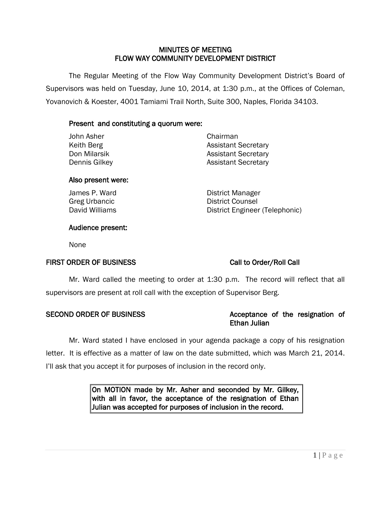### MINUTES OF MEETING FLOW WAY COMMUNITY DEVELOPMENT DISTRICT

 The Regular Meeting of the Flow Way Community Development District's Board of Supervisors was held on Tuesday, June 10, 2014, at 1:30 p.m., at the Offices of Coleman, Yovanovich & Koester, 4001 Tamiami Trail North, Suite 300, Naples, Florida 34103.

# Present and constituting a quorum were:

| John Asher    | Chairman                   |
|---------------|----------------------------|
| Keith Berg    | <b>Assistant Secretary</b> |
| Don Milarsik  | <b>Assistant Secretary</b> |
| Dennis Gilkey | <b>Assistant Secretary</b> |

### Also present were:

James P. Ward **District Manager** Greg Urbancic **District Counsel** David Williams **District Engineer (Telephonic)** 

# Audience present:

None

# FIRST ORDER OF BUSINESS Call to Order/Roll Call

Mr. Ward called the meeting to order at 1:30 p.m. The record will reflect that all supervisors are present at roll call with the exception of Supervisor Berg.

# SECOND ORDER OF BUSINESS Acceptance of the resignation of Ethan Julian

Mr. Ward stated I have enclosed in your agenda package a copy of his resignation letter. It is effective as a matter of law on the date submitted, which was March 21, 2014. I'll ask that you accept it for purposes of inclusion in the record only.

> On MOTION made by Mr. Asher and seconded by Mr. Gilkey, with all in favor, the acceptance of the resignation of Ethan Julian was accepted for purposes of inclusion in the record.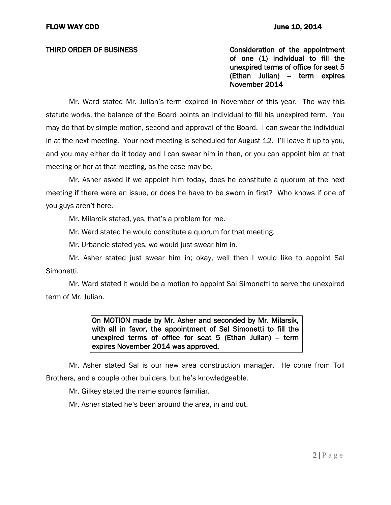THIRD ORDER OF BUSINESS THIRD ON SCONSIDER THIRD ORDER OF BUSINESS of one (1) individual to fill the unexpired terms of office for seat 5 (Ethan Julian) - term expires November 2014

Mr. Ward stated Mr. Julian's term expired in November of this year. The way this statute works, the balance of the Board points an individual to fill his unexpired term. You may do that by simple motion, second and approval of the Board. I can swear the individual in at the next meeting. Your next meeting is scheduled for August 12. I'll leave it up to you, and you may either do it today and I can swear him in then, or you can appoint him at that meeting or her at that meeting, as the case may be.

Mr. Asher asked if we appoint him today, does he constitute a quorum at the next meeting if there were an issue, or does he have to be sworn in first? Who knows if one of you guys aren't here.

Mr. Milarcik stated, yes, that's a problem for me.

Mr. Ward stated he would constitute a quorum for that meeting.

Mr. Urbancic stated yes, we would just swear him in.

Mr. Asher stated just swear him in; okay, well then I would like to appoint Sal Simonetti.

Mr. Ward stated it would be a motion to appoint Sal Simonetti to serve the unexpired term of Mr. Julian.

> On MOTION made by Mr. Asher and seconded by Mr. Milarsik, with all in favor, the appointment of Sal Simonetti to fill the unexpired terms of office for seat  $5$  (Ethan Julian) – term expires November 2014 was approved.

Mr. Asher stated Sal is our new area construction manager. He come from Toll Brothers, and a couple other builders, but he's knowledgeable.

Mr. Gilkey stated the name sounds familiar.

Mr. Asher stated he's been around the area, in and out.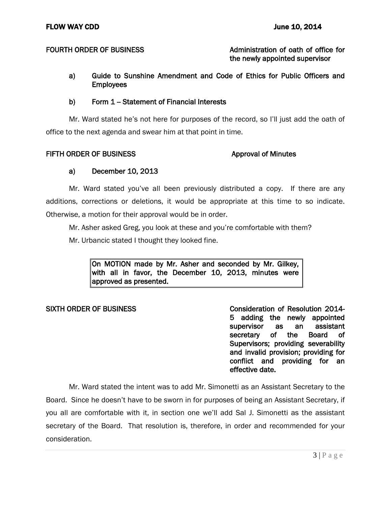### FOURTH ORDER OF BUSINESS Administration of oath of office for the newly appointed supervisor

a) Guide to Sunshine Amendment and Code of Ethics for Public Officers and **Employees** 

### b) Form 1 - Statement of Financial Interests

Mr. Ward stated he's not here for purposes of the record, so I'll just add the oath of office to the next agenda and swear him at that point in time.

### FIFTH ORDER OF BUSINESS **Approval of Minutes**

# a) December 10, 2013

Mr. Ward stated you've all been previously distributed a copy. If there are any additions, corrections or deletions, it would be appropriate at this time to so indicate. Otherwise, a motion for their approval would be in order.

Mr. Asher asked Greg, you look at these and you're comfortable with them?

Mr. Urbancic stated I thought they looked fine.

On MOTION made by Mr. Asher and seconded by Mr. Gilkey, with all in favor, the December 10, 2013, minutes were approved as presented.

SIXTH ORDER OF BUSINESS CONSIDERATION OF Resolution 2014-5 adding the newly appointed supervisor as an assistant secretary of the Board of Supervisors; providing severability and invalid provision; providing for conflict and providing for an effective date.

Mr. Ward stated the intent was to add Mr. Simonetti as an Assistant Secretary to the Board. Since he doesn't have to be sworn in for purposes of being an Assistant Secretary, if you all are comfortable with it, in section one we'll add Sal J. Simonetti as the assistant secretary of the Board. That resolution is, therefore, in order and recommended for your consideration.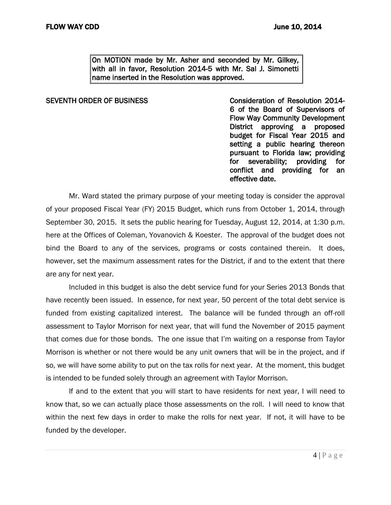On MOTION made by Mr. Asher and seconded by Mr. Gilkey, with all in favor, Resolution 2014-5 with Mr. Sal J. Simonetti name inserted in the Resolution was approved.

SEVENTH ORDER OF BUSINESS CONSIDER THE CONSIDERATION Of Resolution 2014-6 of the Board of Supervisors of Flow Way Community Development District approving a proposed budget for Fiscal Year 2015 and setting a public hearing thereon pursuant to Florida law; providing for severability; providing for conflict and providing for an effective date.

Mr. Ward stated the primary purpose of your meeting today is consider the approval of your proposed Fiscal Year (FY) 2015 Budget, which runs from October 1, 2014, through September 30, 2015. It sets the public hearing for Tuesday, August 12, 2014, at 1:30 p.m. here at the Offices of Coleman, Yovanovich & Koester. The approval of the budget does not bind the Board to any of the services, programs or costs contained therein. It does, however, set the maximum assessment rates for the District, if and to the extent that there are any for next year.

Included in this budget is also the debt service fund for your Series 2013 Bonds that have recently been issued. In essence, for next year, 50 percent of the total debt service is funded from existing capitalized interest. The balance will be funded through an off-roll assessment to Taylor Morrison for next year, that will fund the November of 2015 payment that comes due for those bonds. The one issue that I'm waiting on a response from Taylor Morrison is whether or not there would be any unit owners that will be in the project, and if so, we will have some ability to put on the tax rolls for next year. At the moment, this budget is intended to be funded solely through an agreement with Taylor Morrison.

If and to the extent that you will start to have residents for next year, I will need to know that, so we can actually place those assessments on the roll. I will need to know that within the next few days in order to make the rolls for next year. If not, it will have to be funded by the developer.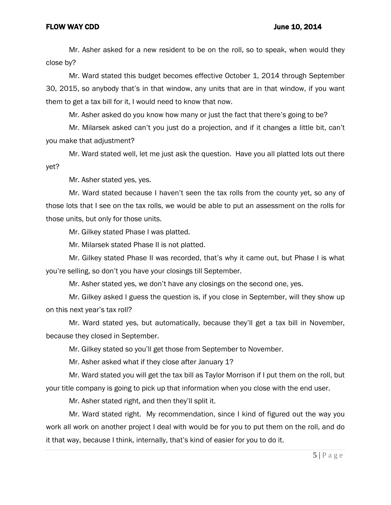### FLOW WAY CDD June 10, 2014

Mr. Asher asked for a new resident to be on the roll, so to speak, when would they close by?

Mr. Ward stated this budget becomes effective October 1, 2014 through September 30, 2015, so anybody that's in that window, any units that are in that window, if you want them to get a tax bill for it, I would need to know that now.

Mr. Asher asked do you know how many or just the fact that there's going to be?

Mr. Milarsek asked can't you just do a projection, and if it changes a little bit, can't you make that adjustment?

Mr. Ward stated well, let me just ask the question. Have you all platted lots out there yet?

Mr. Asher stated yes, yes.

Mr. Ward stated because I haven't seen the tax rolls from the county yet, so any of those lots that I see on the tax rolls, we would be able to put an assessment on the rolls for those units, but only for those units.

Mr. Gilkey stated Phase I was platted.

Mr. Milarsek stated Phase II is not platted.

Mr. Gilkey stated Phase II was recorded, that's why it came out, but Phase I is what you're selling, so don't you have your closings till September.

Mr. Asher stated yes, we don't have any closings on the second one, yes.

Mr. Gilkey asked I guess the question is, if you close in September, will they show up on this next year's tax roll?

Mr. Ward stated yes, but automatically, because they'll get a tax bill in November, because they closed in September.

Mr. Gilkey stated so you'll get those from September to November.

Mr. Asher asked what if they close after January 1?

Mr. Ward stated you will get the tax bill as Taylor Morrison if I put them on the roll, but your title company is going to pick up that information when you close with the end user.

Mr. Asher stated right, and then they'll split it.

Mr. Ward stated right. My recommendation, since I kind of figured out the way you work all work on another project I deal with would be for you to put them on the roll, and do it that way, because I think, internally, that's kind of easier for you to do it.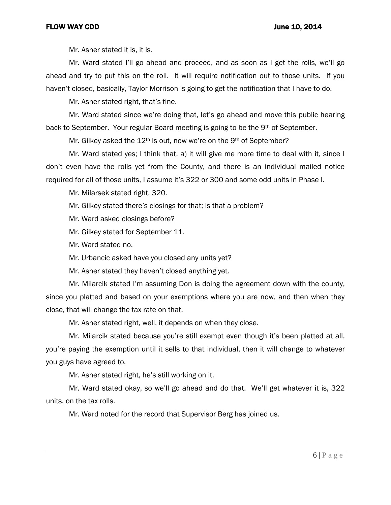Mr. Asher stated it is, it is.

Mr. Ward stated I'll go ahead and proceed, and as soon as I get the rolls, we'll go ahead and try to put this on the roll. It will require notification out to those units. If you haven't closed, basically, Taylor Morrison is going to get the notification that I have to do.

Mr. Asher stated right, that's fine.

Mr. Ward stated since we're doing that, let's go ahead and move this public hearing back to September. Your regular Board meeting is going to be the 9th of September.

Mr. Gilkey asked the 12<sup>th</sup> is out, now we're on the 9<sup>th</sup> of September?

Mr. Ward stated yes; I think that, a) it will give me more time to deal with it, since I don't even have the rolls yet from the County, and there is an individual mailed notice required for all of those units, I assume it's 322 or 300 and some odd units in Phase I.

Mr. Milarsek stated right, 320.

Mr. Gilkey stated there's closings for that; is that a problem?

Mr. Ward asked closings before?

Mr. Gilkey stated for September 11.

Mr. Ward stated no.

Mr. Urbancic asked have you closed any units yet?

Mr. Asher stated they haven't closed anything yet.

Mr. Milarcik stated I'm assuming Don is doing the agreement down with the county, since you platted and based on your exemptions where you are now, and then when they close, that will change the tax rate on that.

Mr. Asher stated right, well, it depends on when they close.

Mr. Milarcik stated because you're still exempt even though it's been platted at all, you're paying the exemption until it sells to that individual, then it will change to whatever you guys have agreed to.

Mr. Asher stated right, he's still working on it.

Mr. Ward stated okay, so we'll go ahead and do that. We'll get whatever it is, 322 units, on the tax rolls.

Mr. Ward noted for the record that Supervisor Berg has joined us.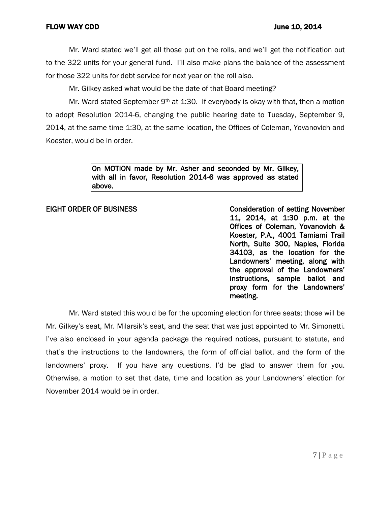# FLOW WAY CDD June 10, 2014

Mr. Ward stated we'll get all those put on the rolls, and we'll get the notification out to the 322 units for your general fund. I'll also make plans the balance of the assessment for those 322 units for debt service for next year on the roll also.

Mr. Gilkey asked what would be the date of that Board meeting?

Mr. Ward stated September 9<sup>th</sup> at 1:30. If everybody is okay with that, then a motion to adopt Resolution 2014-6, changing the public hearing date to Tuesday, September 9, 2014, at the same time 1:30, at the same location, the Offices of Coleman, Yovanovich and Koester, would be in order.

> On MOTION made by Mr. Asher and seconded by Mr. Gilkey, with all in favor, Resolution 2014-6 was approved as stated above.

EIGHT ORDER OF BUSINESS Consideration of setting November 11, 2014, at 1:30 p.m. at the Offices of Coleman, Yovanovich & Koester, P.A., 4001 Tamiami Trail North, Suite 300, Naples, Florida 34103, as the location for the Landowners' meeting, along with the approval of the Landowners' instructions, sample ballot and proxy form for the Landowners' meeting.

Mr. Ward stated this would be for the upcoming election for three seats; those will be Mr. Gilkey's seat, Mr. Milarsik's seat, and the seat that was just appointed to Mr. Simonetti. I've also enclosed in your agenda package the required notices, pursuant to statute, and that's the instructions to the landowners, the form of official ballot, and the form of the landowners' proxy. If you have any questions, I'd be glad to answer them for you. Otherwise, a motion to set that date, time and location as your Landowners' election for November 2014 would be in order.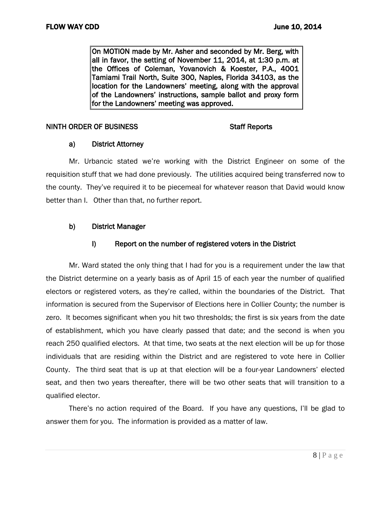On MOTION made by Mr. Asher and seconded by Mr. Berg, with all in favor, the setting of November 11, 2014, at 1:30 p.m. at the Offices of Coleman, Yovanovich & Koester, P.A., 4001 Tamiami Trail North, Suite 300, Naples, Florida 34103, as the location for the Landowners' meeting, along with the approval of the Landowners' instructions, sample ballot and proxy form for the Landowners' meeting was approved.

### NINTH ORDER OF BUSINESS STATES STATES STAFF Reports

# a) District Attorney

Mr. Urbancic stated we're working with the District Engineer on some of the requisition stuff that we had done previously. The utilities acquired being transferred now to the county. They've required it to be piecemeal for whatever reason that David would know better than I. Other than that, no further report.

# b) District Manager

# I) Report on the number of registered voters in the District

Mr. Ward stated the only thing that I had for you is a requirement under the law that the District determine on a yearly basis as of April 15 of each year the number of qualified electors or registered voters, as they're called, within the boundaries of the District. That information is secured from the Supervisor of Elections here in Collier County; the number is zero. It becomes significant when you hit two thresholds; the first is six years from the date of establishment, which you have clearly passed that date; and the second is when you reach 250 qualified electors. At that time, two seats at the next election will be up for those individuals that are residing within the District and are registered to vote here in Collier County. The third seat that is up at that election will be a four-year Landowners' elected seat, and then two years thereafter, there will be two other seats that will transition to a qualified elector.

There's no action required of the Board. If you have any questions, I'll be glad to answer them for you. The information is provided as a matter of law.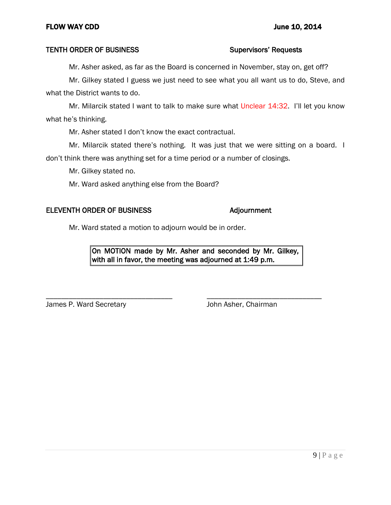# TENTH ORDER OF BUSINESS Supervisors' Requests

Mr. Asher asked, as far as the Board is concerned in November, stay on, get off?

Mr. Gilkey stated I guess we just need to see what you all want us to do, Steve, and what the District wants to do.

Mr. Milarcik stated I want to talk to make sure what Unclear 14:32. I'll let you know what he's thinking.

Mr. Asher stated I don't know the exact contractual.

Mr. Milarcik stated there's nothing. It was just that we were sitting on a board. I don't think there was anything set for a time period or a number of closings.

Mr. Gilkey stated no.

Mr. Ward asked anything else from the Board?

### ELEVENTH ORDER OF BUSINESS Adjournment

Mr. Ward stated a motion to adjourn would be in order.

On MOTION made by Mr. Asher and seconded by Mr. Gilkey, with all in favor, the meeting was adjourned at 1:49 p.m.

\_\_\_\_\_\_\_\_\_\_\_\_\_\_\_\_\_\_\_\_\_\_\_\_\_\_\_\_\_\_\_\_\_ \_\_\_\_\_\_\_\_\_\_\_\_\_\_\_\_\_\_\_\_\_\_\_\_\_\_\_\_\_\_ James P. Ward Secretary **John Asher, Chairman**